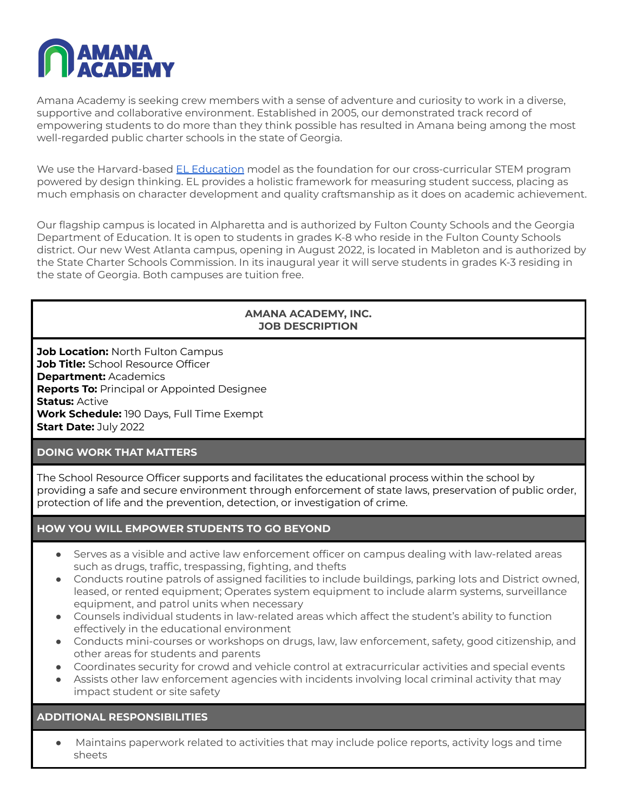

Amana Academy is seeking crew members with a sense of adventure and curiosity to work in a diverse, supportive and collaborative environment. Established in 2005, our demonstrated track record of empowering students to do more than they think possible has resulted in Amana being among the most well-regarded public charter schools in the state of Georgia.

We use the Harvard-based EL [Education](https://eleducation.org/) model as the foundation for our cross-curricular STEM program powered by design thinking. EL provides a holistic framework for measuring student success, placing as much emphasis on character development and quality craftsmanship as it does on academic achievement.

Our flagship campus is located in Alpharetta and is authorized by Fulton County Schools and the Georgia Department of Education. It is open to students in grades K-8 who reside in the Fulton County Schools district. Our new West Atlanta campus, opening in August 2022, is located in Mableton and is authorized by the State Charter Schools Commission. In its inaugural year it will serve students in grades K-3 residing in the state of Georgia. Both campuses are tuition free.

# **AMANA ACADEMY, INC. JOB DESCRIPTION**

**Job Location:** North Fulton Campus **Job Title:** School Resource Officer **Department:** Academics **Reports To:** Principal or Appointed Designee **Status:** Active **Work Schedule:** 190 Days, Full Time Exempt **Start Date:** July 2022

# **DOING WORK THAT MATTERS**

The School Resource Officer supports and facilitates the educational process within the school by providing a safe and secure environment through enforcement of state laws, preservation of public order, protection of life and the prevention, detection, or investigation of crime.

### **HOW YOU WILL EMPOWER STUDENTS TO GO BEYOND**

- Serves as a visible and active law enforcement officer on campus dealing with law-related areas such as drugs, traffic, trespassing, fighting, and thefts
- Conducts routine patrols of assigned facilities to include buildings, parking lots and District owned, leased, or rented equipment; Operates system equipment to include alarm systems, surveillance equipment, and patrol units when necessary
- Counsels individual students in law-related areas which affect the student's ability to function effectively in the educational environment
- Conducts mini-courses or workshops on drugs, law, law enforcement, safety, good citizenship, and other areas for students and parents
- Coordinates security for crowd and vehicle control at extracurricular activities and special events
- Assists other law enforcement agencies with incidents involving local criminal activity that may impact student or site safety

# **ADDITIONAL RESPONSIBILITIES**

Maintains paperwork related to activities that may include police reports, activity logs and time sheets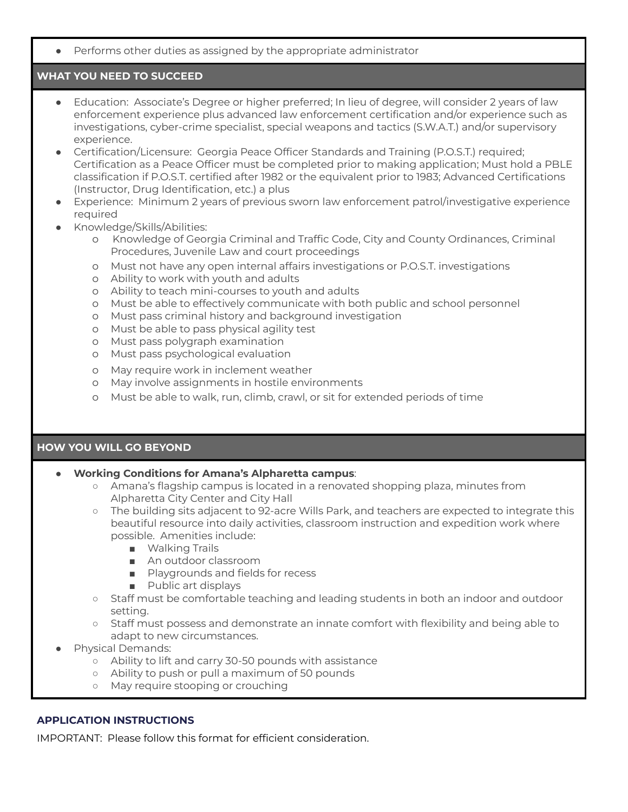● Performs other duties as assigned by the appropriate administrator

# **WHAT YOU NEED TO SUCCEED**

- Education: Associate's Degree or higher preferred; In lieu of degree, will consider 2 years of law enforcement experience plus advanced law enforcement certification and/or experience such as investigations, cyber-crime specialist, special weapons and tactics (S.W.A.T.) and/or supervisory experience.
- Certification/Licensure: Georgia Peace Officer Standards and Training (P.O.S.T.) required; Certification as a Peace Officer must be completed prior to making application; Must hold a PBLE classification if P.O.S.T. certified after 1982 or the equivalent prior to 1983; Advanced Certifications (Instructor, Drug Identification, etc.) a plus
- Experience: Minimum 2 years of previous sworn law enforcement patrol/investigative experience required
- Knowledge/Skills/Abilities:
	- o Knowledge of Georgia Criminal and Traffic Code, City and County Ordinances, Criminal Procedures, Juvenile Law and court proceedings
	- o Must not have any open internal affairs investigations or P.O.S.T. investigations
	- o Ability to work with youth and adults
	- o Ability to teach mini-courses to youth and adults
	- o Must be able to effectively communicate with both public and school personnel
	- o Must pass criminal history and background investigation
	- o Must be able to pass physical agility test
	- o Must pass polygraph examination
	- o Must pass psychological evaluation
	- o May require work in inclement weather
	- o May involve assignments in hostile environments
	- o Must be able to walk, run, climb, crawl, or sit for extended periods of time

### **HOW YOU WILL GO BEYOND**

### ● **Working Conditions for Amana's Alpharetta campus**:

- Amana's flagship campus is located in a renovated shopping plaza, minutes from Alpharetta City Center and City Hall
- The building sits adjacent to 92-acre Wills Park, and teachers are expected to integrate this beautiful resource into daily activities, classroom instruction and expedition work where possible. Amenities include:
	- Walking Trails
	- An outdoor classroom
	- Playgrounds and fields for recess
	- Public art displays
- Staff must be comfortable teaching and leading students in both an indoor and outdoor setting.
- Staff must possess and demonstrate an innate comfort with flexibility and being able to adapt to new circumstances.
- Physical Demands:
	- Ability to lift and carry 30-50 pounds with assistance
	- Ability to push or pull a maximum of 50 pounds
	- May require stooping or crouching

### **APPLICATION INSTRUCTIONS**

IMPORTANT: Please follow this format for efficient consideration.